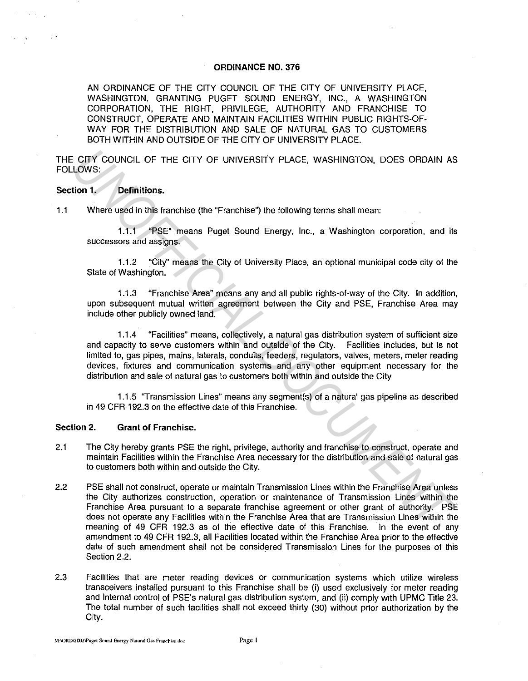#### ORDINANCE NO. 376

AN ORDINANCE OF THE CITY COUNCIL OF THE CITY OF UNIVERSITY PLACE, WASHINGTON, GRANTING PUGET SOUND ENERGY, INC., A WASHINGTON CORPORATION, THE RIGHT, PRIVILEGE, AUTHORITY AND FRANCHISE TO CONSTRUCT, OPERATE AND MAINTAIN FACILITIES WITHIN PUBLIC RIGHTS-OF-WAY FOR THE DISTRIBUTION AND SALE OF NATURAL GAS TO CUSTOMERS BOTH WITHIN AND OUTSIDE OF THE CITY OF UNIVERSITY PLACE.

THE CITY COUNCIL OF THE CITY OF UNIVERSITY PLACE, WASHINGTON, DOES ORDAIN AS FOLLOWS:

#### Section 1. Definitions.

1.1 Where used in this franchise (the "Franchise") the following terms shall mean:

1.1.1 "PSE" means Puget Sound Energy, Inc., a Washington corporation, and its successors and assigns.

1.1.2 "City'' means the City of University Place, an optional municipal code city of the State of Washington.

1.1.3 "Franchise Area" means any and all public rights-of-way of the City. In addition, upon subsequent mutual written agreement between the City and PSE, Franchise Area may include other publicly owned land.

1.1.4 "Facilities" means, collectively, a natural gas distribution system of sufficient size and capacity to serve customers within and outside of the City. Facilities includes, but is not limited to, gas pipes, mains, laterals, conduits, feeders, regulators, valves, meters, meter reading devices, fixtures and communication systems and any other equipment necessary for the distribution and sale of natural gas to customers both within and outside the City **CITY COUNCIL OF THE CITY OF UNIVERSITY PLACE, WASHINGTON, DOES ORDAIN AS<br>
1.0005:**<br> **Unity Definitions.**<br>
Where used in this franchise (the "Franchise") the following terms shall mean:<br>
1.1.2 "City" means Puget Sound Ener

1.1.5 ''Transmission Lines" means any segment(s) of a natural gas pipeline as described in 49 CFR 192.3 on the effective date of this Franchise.

#### Section 2. Grant of Franchise.

- 2.1 The City hereby grants PSE the right, privilege, authority and franchise to construct, operate and maintain Facilities within the Franchise Area necessary for the distribution and sale of natural gas to customers both within and outside the City.
- 2.2 PSE shall not construct, operate or maintain Transmission Lines within the Franchise Area unless the City authorizes construction, operation or maintenance of Transmission Lines within the Franchise Area pursuant to a separate franchise agreement or other grant of authority. PSE does not operate any Facilities within the Franchise Area that are Transmission Lines within the meaning of 49 CFR 192.3 as of the effective date of this Franchise. In the event of any amendment to 49 CFR 192.3, all Facilities located within the Franchise Area prior to the effective date of such amendment shall not be considered Transmission Lines for the purposes of this Section 2.2.
- 2.3 Facilities that are meter reading devices or communication systems which utilize wireless transceivers installed pursuant to this Franchise shall be (i) used exclusively for meter reading and internal control of PSE's natural gas distribution system, and (ii) comply with UPMC Title 23. The total number of such facilities shall not exceed thirty (30) without prior authorization by the City.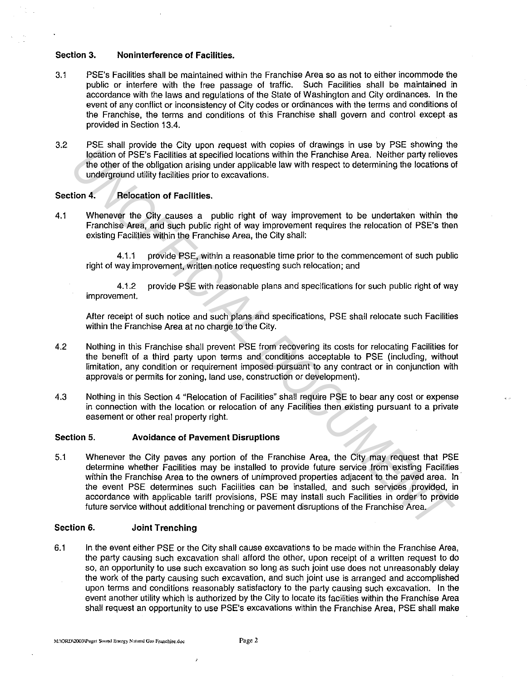#### **Section 3. Noninterference of Facilities.**

- 3.1 PSE's Facilities shall be maintained within the Franchise Area so as not to either incommode the public or interfere with the free passage of traffic. Such Facilities shall be maintained in accordance with the laws and regulations of the State of Washington and City ordinances. In the event of any conflict or inconsistency of City codes or ordinances with the terms and conditions of the Franchise, the terms and conditions of this Franchise shall govern and control except as provided in Section 13.4.
- 3.2 PSE shall provide the City upon request with copies of drawings in use by PSE showing the location of PSE's Facilities at specified locations within the Franchise Area. Neither party relieves the other of the obligation arising under applicable law with respect to determining the locations of underground utility facilities prior to excavations.

### Section 4. **Relocation of Facilities.**

4.1 Whenever the City causes a public right of way improvement to be undertaken within the Franchise Area, and such public right of way improvement requires the relocation of PSE's then existing Facilities within the Franchise Area, the City shall:

4.1.1 provide PSE, within a reasonable time prior to the commencement of such public right of way improvement, written notice requesting such relocation; and

4.1.2 provide PSE with reasonable plans and specifications for such public right of way improvement.

After receipt of such notice and such plans and specifications, PSE shall relocate such Facilities within the Franchise Area at no charge to the City.

- 4.2 Nothing in this Franchise shall prevent PSE from recovering its costs for relocating Facilities for the benefit of a third party upon terms and conditions acceptable to PSE (including, without limitation, any condition or requirement imposed pursuant to any contract or in conjunction with approvals or permits for zoning, land use, construction or development).
- 4.3 Nothing in this Section 4 "Relocation of Facilities" shall require PSE to bear any cost or expense in connection with the location or relocation of any Facilities then existing pursuant to a private easement or other real property right.

# **Section 5. Avoidance of Pavement Disruptions**

5.1 Whenever the City paves any portion of the Franchise Area, the City may request that PSE determine whether Facilities may be installed to provide future service from existing Facilities within the Franchise Area to the owners of unimproved properties adjacent to the paved area. In the event PSE determines such Facilities can be installed, and such services provided, in accordance with applicable tariff provisions, PSE may install such Facilities in order to provide future service without additional trenching or pavement disruptions of the Franchise Area. **Experimentally and the Experimentally and the Franchise with the Franchise Area.** Neither party relieves the other of PSE's Facilities, the other of the obligation arising under applicable law with respect to determining

# **Section 6. Joint Trenching**

6.1 In the event either PSE or the City shalt cause excavations to be made within the Franchise Area, the party causing such excavation shall afford the other, upon receipt of a written request to do so, an opportunity to use such excavation so long as such joint use does not unreasonably delay the work of the party causing such excavation, and such joint use is arranged and accomplished upon terms and conditions reasonably satisfactory to the party causing such excavation. In the event another utility which is authorized by the City to locate its facilities within the Franchise Area shall request an opportunity to use PSE's excavations within the Franchise Area, PSE shall make

 $\mathbf{r}$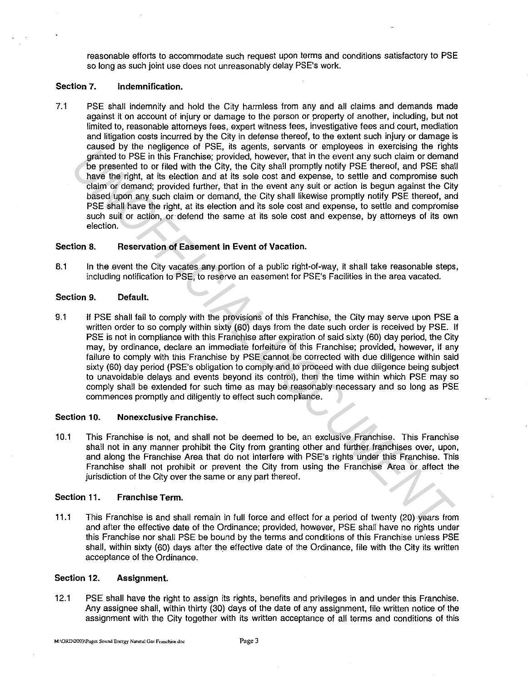reasonable efforts to accommodate such request upon terms and conditions satisfactory to PSE so long as such joint use does not unreasonably delay PSE's work.

### Section 7. Indemnification.

7.1 PSE shall indemnify and hold the City harmless from any and all claims and demands made against it on account of injury or damage to the person or property of another, including, but not limited to, reasonable attorneys fees, expert witness fees, investigative fees and court, mediation and litigation costs incurred by the City in defense thereof, to the extent such injury or damage is caused by the negligence of PSE, its agents, servants or employees in exercising the rights granted to PSE in this Franchise; provided, however, that in the event any such claim or demand be presented to or filed with the City, the City shall promptly notify PSE thereof, and PSE shall have the right, at its election and at its sole cost and expense, to settle and compromise such claim or demand; provided further, that in the event any suit or action is begun against the City based upon any such claim or demand, the City shall likewise promptly notify PSE thereof, and PSE shall have the right, at its election and its sole cost and expense, to settle and compromise such suit or action, or defend the same at its sole cost and expense, by attorneys of its own election.

### Section 8. Reservation of Easement in Event of Vacation.

8.1 In the event the City vacates any portion of a public right-of-way, it shall take reasonable steps, including notification to PSE, to reserve an easement for PSE's Facilities in the area vacated.

### Section 9. Default.

9.1 If PSE shall fail to comply with the provisions of this Franchise, the City may serve upon PSE a written order to so comply within sixty (60) days from the date such order is received by PSE. If PSE is not in compliance with this Franchise after expiration of said sixty (60) day period, the City may, by ordinance, declare an immediate forfeiture of this Franchise; provided, however, if any failure to comply with this Franchise by PSE cannot be corrected with due diligence within said sixty (60) day period (PSE's obligation to comply and to proceed with due diligence being subject to unavoidable delays and events beyond its control), then the time within which PSE may so comply shall be extended for such time as may be reasonably necessary and so long as PSE commences promptly and diligently to effect such compliance. Example the measure of the Theorem is the control of the main of the control of the presentation of the presentation of the presentation of the presentation of the presentation of the presentation of the presentation of th

#### Section 10. Nonexclusive Franchise.

10.1 This Franchise is not, and shall not be deemed to be, an exclusive Franchise. This Franchise shall not in any manner prohibit the City from granting other and further franchises over, upon, and along the Franchise Area that do not interfere with PSE's rights under this Franchise. This Franchise shall not prohibit or prevent the City from using the Franchise Area or affect the jurisdiction of the City over the same or any part thereof.

## Section 11. Franchise Term.

11.1 This Franchise is and shall remain in full force and effect for a period of twenty (20) years from and after the effective date of the Ordinance; provided, however, PSE shall have no rights under this Franchise nor shall PSE be bound by the terms and conditions of this Franchise unless PSE shall, within sixty (60) days after the effective date of the Ordinance, file with the City its written acceptance of the Ordinance.

#### Section 12. Assignment.

12.1 PSE shall have the right to assign its rights, benefits and privileges in and under this Franchise. Any assignee shall, within thirty (30) days of the date of any assignment, file written notice of the assignment with the City together with its written acceptance of all terms and conditions of this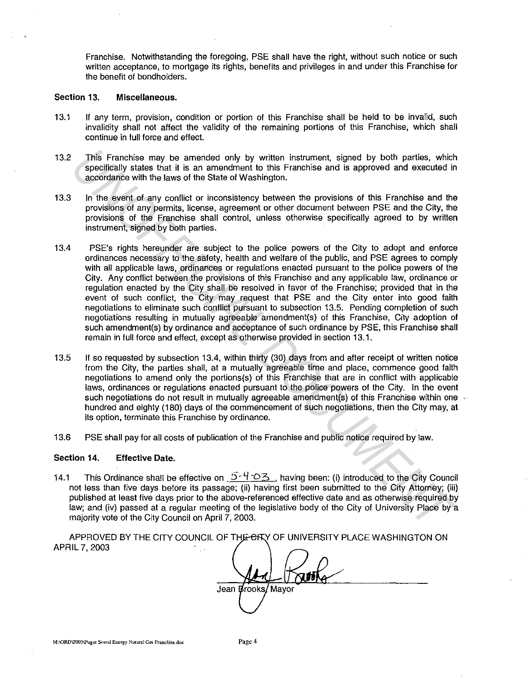Franchise. Notwithstanding the foregoing, PSE shall have the right, without such notice or such written acceptance, to mortgage its rights, benefits and privileges in and under this Franchise for the benefit of bondholders.

#### Section 13. Miscellaneous.

- 13.1 If any term, provision, condition or portion of this Franchise shall be held to be invalid, such invalidity shall not affect the validity of the remaining portions of this Franchise, which shall continue in full force and effect.
- 13.2 This Franchise may be amended only by written instrument, signed by both parties, which specifically states that it is an amendment to this Franchise and is approved and executed in accordance with the laws of the State of Washington.
- 13.3 In the event of any conflict or inconsistency between the provisions of this Franchise and the provisions of any permits, license, agreement or other document between PSE and the City, the provisions of the Franchise shall control, unless otherwise specifically agreed to by written instrument, signed by both parties.
- 13.4 PSE's rights hereunder are subject to the police powers of the City to adopt and enforce ordinances necessary to the safety, health and welfare of the public, and PSE agrees to comply With all applicable laws, ordinances or regulations enacted pursuant to the police powers of the City. Any conflict between the provisions of this Franchise and any applicable law, ordinance or regulation enacted by the City shall be resolved in favor of the Franchise; provided that in the event of such conflict, the City may request that PSE and the City enter into good faith negotiations to eliminate such conflict pursuant to subsection 13.5. Pending completion of such negotiations resulting in mutually agreeable amendment(s) of this Franchise, City adoption of such amendment(s) by ordinance and acceptance of such ordinance by PSE, this Franchise shall remain in full force and effect, except as otherwise provided in section 13.1. This Franchise may be annerded only by written histrument, signed by both parties, which specificially states that it is an amendment to this Franchise and is approved and executed ir accordinate with the laws of the Stat
- 13.5 If so requested by subsection 13.4, within thirty (30) days from and after receipt of written notice from the City, the parties shall, at a mutually agreeable time and place, commence good faith negotiations to amend only the portions(s) of this Franchise that are in conflict with applicable laws, ordinances or regulations enacted pursuant to the police powers of the City. In the event such negotiations do not result in mutually agreeable amendment(s) of this Franchise within one hundred and eighty (180) days of the commencement of such negotiations, then the City may, at its option, terminate this Franchise by ordinance.
- 13.6 PSE shall pay for all costs of publication of the Franchise and public notice required by law.

#### Section 14. Effective Date.

14.1 This Ordinance shall be effective on  $5-4-23$ , having been: (i) introduced to the City Council not less than five days before its passage; (ii) having first been submitted to the City Attorney; (iii) published at least five days prior to the above-referenced effective date and as otherwise required by law; and (iv) passed at a regular meeting of the legislative body of the City of University Place by a majority vote of the City Council on April 7, 2003.

APPROVED BY THE CITY COUNCIL OF THE CHY OF UNIVERSITY PLACE WASHINGTON ON APRIL 7, 2003

Jean *Brooks* Mayor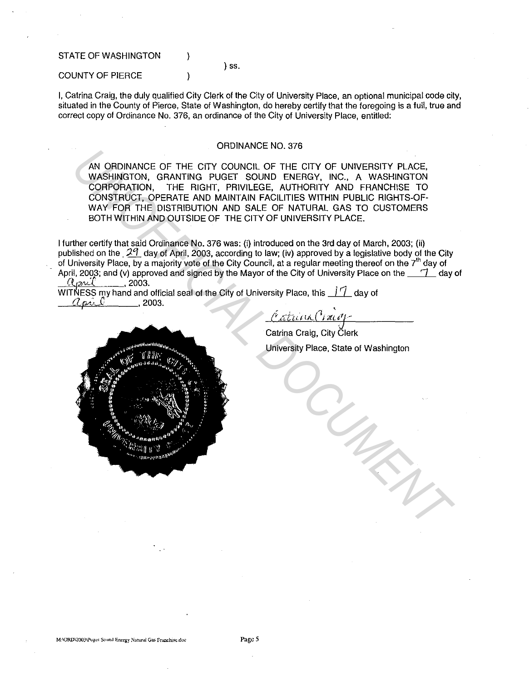STATE OF WASHINGTON

#### ) SS.

COUNTY OF PIERCE Ì

I, Catrina Craig, the duly qualified City Clerk of the City of University Place, an optional municipal code city, situated in the County of Pierce, State of Washington, do hereby certify that the foregoing is a full, true and correct copy of Ordinance No. 376, an ordinance of the City of University Place, entitled:

### ORDINANCE NO. 376

AN ORDINANCE OF THE CITY COUNCIL OF THE CITY OF UNIVERSITY PLACE, WASHINGTON, GRANTING PUGET SOUND ENERGY, INC., A WASHINGTON CORPORATION, THE RIGHT, PRIVILEGE, AUTHORITY AND FRANCHISE TO CONSTRUCT, OPERATE AND MAINTAIN FACILITIES WITHIN PUBLIC RIGHTS-OF-WAY FOR THE DISTRIBUTION AND SALE OF NATURAL GAS TO CUSTOMERS BOTH WITHIN AND OUTSIDE OF THE CITY OF UNIVERSITY PLACE.

I further certify that said Ordinance No. 376 was: (i) introduced on the 3rd day of March, 2003; (ii) published on the  $\frac{29}{1}$  day of April, 2003, according to law; (iv) approved by a legislative body of the City of University Place, by a majority vote of the City Council, at a regular meeting thereof on the 7<sup>th</sup> day of April, 2003; and (v) approved and signed by the Mayor of the City of University Place on the  $\_\,$   $\,7$  day of  $Q_{\text{part}}$  , 2003.

WITNESS my hand and official seal of the City of University Place, this *II* day of  $Q_{\text{max}}$ *ri* 2003.

Catura Cracop

Catrina Craig, City Clerk University Place, State of Washington